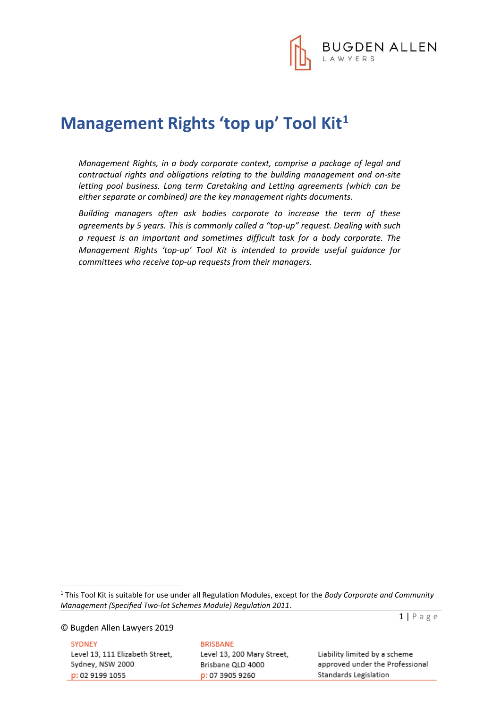

# **Management Rights 'top up' Tool Kit<sup>1</sup>**

*Management Rights, in a body corporate context, comprise a package of legal and contractual rights and obligations relating to the building management and on-site letting pool business. Long term Caretaking and Letting agreements (which can be either separate or combined) are the key management rights documents.* 

*Building managers often ask bodies corporate to increase the term of these agreements by 5 years. This is commonly called a "top-up" request. Dealing with such a request is an important and sometimes difficult task for a body corporate. The Management Rights 'top-up' Tool Kit is intended to provide useful guidance for committees who receive top-up requests from their managers.* 

© Bugden Allen Lawyers 2019

1

**SYDNEY** Level 13, 111 Elizabeth Street, Sydney, NSW 2000 p: 02 9199 1055

**BRISBANE** Level 13, 200 Mary Street, Brisbane QLD 4000 p: 07 3905 9260

 $1 | P$  a g e

Liability limited by a scheme approved under the Professional Standards Legislation

<sup>1</sup> This Tool Kit is suitable for use under all Regulation Modules, except for the *Body Corporate and Community Management (Specified Two-lot Schemes Module) Regulation 2011*.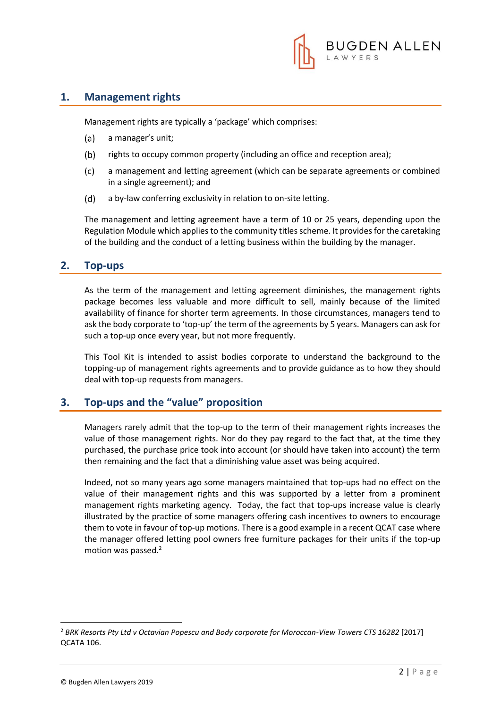

## **1. Management rights**

Management rights are typically a 'package' which comprises:

- $(a)$ a manager's unit;
- $(b)$ rights to occupy common property (including an office and reception area);
- $(c)$ a management and letting agreement (which can be separate agreements or combined in a single agreement); and
- $(d)$ a by-law conferring exclusivity in relation to on-site letting.

The management and letting agreement have a term of 10 or 25 years, depending upon the Regulation Module which applies to the community titles scheme. It provides for the caretaking of the building and the conduct of a letting business within the building by the manager.

## **2. Top-ups**

As the term of the management and letting agreement diminishes, the management rights package becomes less valuable and more difficult to sell, mainly because of the limited availability of finance for shorter term agreements. In those circumstances, managers tend to ask the body corporate to 'top-up' the term of the agreements by 5 years. Managers can ask for such a top-up once every year, but not more frequently.

This Tool Kit is intended to assist bodies corporate to understand the background to the topping-up of management rights agreements and to provide guidance as to how they should deal with top-up requests from managers.

## **3. Top-ups and the "value" proposition**

Managers rarely admit that the top-up to the term of their management rights increases the value of those management rights. Nor do they pay regard to the fact that, at the time they purchased, the purchase price took into account (or should have taken into account) the term then remaining and the fact that a diminishing value asset was being acquired.

Indeed, not so many years ago some managers maintained that top-ups had no effect on the value of their management rights and this was supported by a letter from a prominent management rights marketing agency. Today, the fact that top-ups increase value is clearly illustrated by the practice of some managers offering cash incentives to owners to encourage them to vote in favour of top-up motions. There is a good example in a recent QCAT case where the manager offered letting pool owners free furniture packages for their units if the top-up motion was passed.<sup>2</sup>

1

<sup>2</sup> *BRK Resorts Pty Ltd v Octavian Popescu and Body corporate for Moroccan-View Towers CTS 16282* [2017] QCATA 106.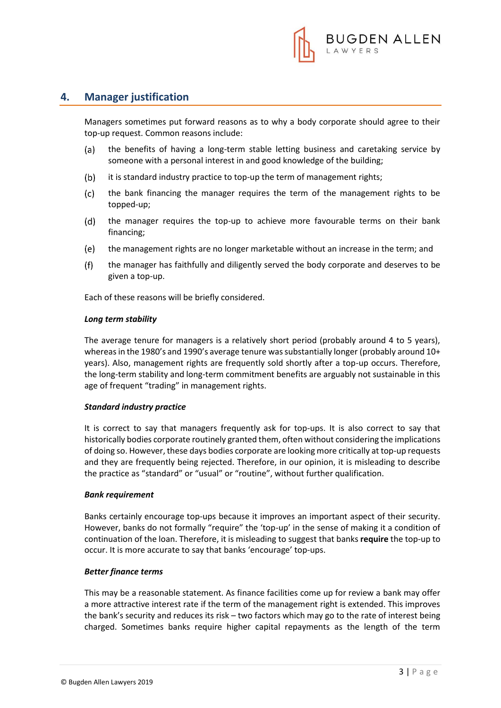

## **4. Manager justification**

Managers sometimes put forward reasons as to why a body corporate should agree to their top-up request. Common reasons include:

- (a) the benefits of having a long-term stable letting business and caretaking service by someone with a personal interest in and good knowledge of the building;
- $(b)$ it is standard industry practice to top-up the term of management rights;
- $(c)$ the bank financing the manager requires the term of the management rights to be topped-up;
- $(d)$ the manager requires the top-up to achieve more favourable terms on their bank financing;
- the management rights are no longer marketable without an increase in the term; and (e)
- $(f)$ the manager has faithfully and diligently served the body corporate and deserves to be given a top-up.

Each of these reasons will be briefly considered.

#### *Long term stability*

The average tenure for managers is a relatively short period (probably around 4 to 5 years), whereas in the 1980's and 1990's average tenure was substantially longer (probably around 10+ years). Also, management rights are frequently sold shortly after a top-up occurs. Therefore, the long-term stability and long-term commitment benefits are arguably not sustainable in this age of frequent "trading" in management rights.

#### *Standard industry practice*

It is correct to say that managers frequently ask for top-ups. It is also correct to say that historically bodies corporate routinely granted them, often without considering the implications of doing so. However, these days bodies corporate are looking more critically at top-up requests and they are frequently being rejected. Therefore, in our opinion, it is misleading to describe the practice as "standard" or "usual" or "routine", without further qualification.

#### *Bank requirement*

Banks certainly encourage top-ups because it improves an important aspect of their security. However, banks do not formally "require" the 'top-up' in the sense of making it a condition of continuation of the loan. Therefore, it is misleading to suggest that banks **require** the top-up to occur. It is more accurate to say that banks 'encourage' top-ups.

#### *Better finance terms*

This may be a reasonable statement. As finance facilities come up for review a bank may offer a more attractive interest rate if the term of the management right is extended. This improves the bank's security and reduces its risk – two factors which may go to the rate of interest being charged. Sometimes banks require higher capital repayments as the length of the term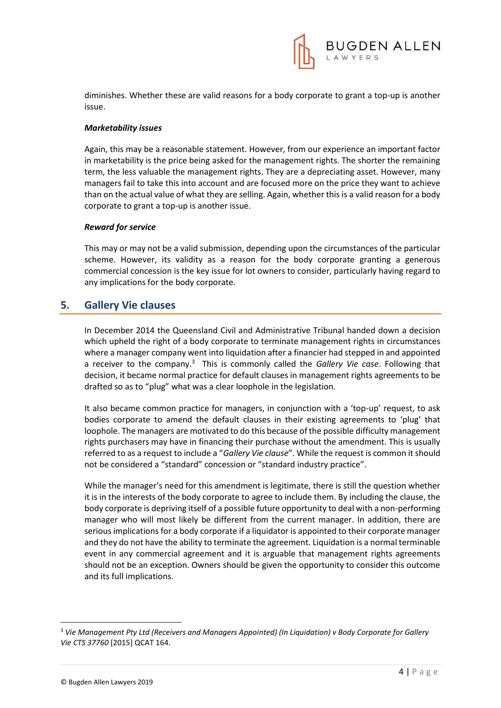

diminishes. Whether these are valid reasons for a body corporate to grant a top-up is another issue.

#### *Marketability issues*

Again, this may be a reasonable statement. However, from our experience an important factor in marketability is the price being asked for the management rights. The shorter the remaining term, the less valuable the management rights. They are a depreciating asset. However, many managers fail to take this into account and are focused more on the price they want to achieve than on the actual value of what they are selling. Again, whether this is a valid reason for a body corporate to grant a top-up is another issue.

#### *Reward for service*

This may or may not be a valid submission, depending upon the circumstances of the particular scheme. However, its validity as a reason for the body corporate granting a generous commercial concession is the key issue for lot owners to consider, particularly having regard to any implications for the body corporate.

## **5. Gallery Vie clauses**

In December 2014 the Queensland Civil and Administrative Tribunal handed down a decision which upheld the right of a body corporate to terminate management rights in circumstances where a manager company went into liquidation after a financier had stepped in and appointed a receiver to the company.<sup>3</sup> This is commonly called the *Gallery Vie case*. Following that decision, it became normal practice for default clauses in management rights agreements to be drafted so as to "plug" what was a clear loophole in the legislation.

It also became common practice for managers, in conjunction with a 'top-up' request, to ask bodies corporate to amend the default clauses in their existing agreements to 'plug' that loophole. The managers are motivated to do this because of the possible difficulty management rights purchasers may have in financing their purchase without the amendment. This is usually referred to as a request to include a "*Gallery Vie clause*". While the request is common it should not be considered a "standard" concession or "standard industry practice".

While the manager's need for this amendment is legitimate, there is still the question whether it is in the interests of the body corporate to agree to include them. By including the clause, the body corporate is depriving itself of a possible future opportunity to deal with a non-performing manager who will most likely be different from the current manager. In addition, there are serious implications for a body corporate if a liquidator is appointed to their corporate manager and they do not have the ability to terminate the agreement. Liquidation is a normal terminable event in any commercial agreement and it is arguable that management rights agreements should not be an exception. Owners should be given the opportunity to consider this outcome and its full implications.

1

<sup>3</sup> *Vie Management Pty Ltd (Receivers and Managers Appointed) (In Liquidation) v Body Corporate for Gallery Vie CTS 37760* [2015] QCAT 164.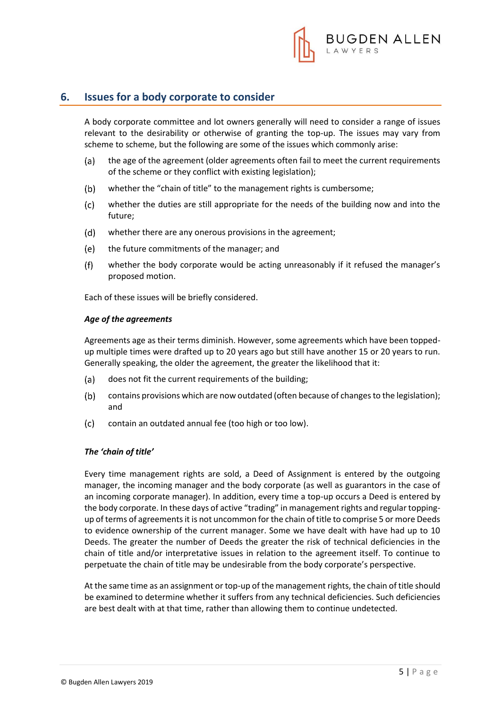

## **6. Issues for a body corporate to consider**

A body corporate committee and lot owners generally will need to consider a range of issues relevant to the desirability or otherwise of granting the top-up. The issues may vary from scheme to scheme, but the following are some of the issues which commonly arise:

- $(a)$ the age of the agreement (older agreements often fail to meet the current requirements of the scheme or they conflict with existing legislation);
- $(b)$ whether the "chain of title" to the management rights is cumbersome;
- $(c)$ whether the duties are still appropriate for the needs of the building now and into the future;
- $(d)$ whether there are any onerous provisions in the agreement;
- (e) the future commitments of the manager; and
- $(f)$ whether the body corporate would be acting unreasonably if it refused the manager's proposed motion.

Each of these issues will be briefly considered.

#### *Age of the agreements*

Agreements age as their terms diminish. However, some agreements which have been toppedup multiple times were drafted up to 20 years ago but still have another 15 or 20 years to run. Generally speaking, the older the agreement, the greater the likelihood that it:

- $(a)$ does not fit the current requirements of the building;
- $(b)$ contains provisions which are now outdated (often because of changes to the legislation); and
- contain an outdated annual fee (too high or too low).  $(c)$

#### *The 'chain of title'*

Every time management rights are sold, a Deed of Assignment is entered by the outgoing manager, the incoming manager and the body corporate (as well as guarantors in the case of an incoming corporate manager). In addition, every time a top-up occurs a Deed is entered by the body corporate. In these days of active "trading" in management rights and regular toppingup of terms of agreements it is not uncommon for the chain of title to comprise 5 or more Deeds to evidence ownership of the current manager. Some we have dealt with have had up to 10 Deeds. The greater the number of Deeds the greater the risk of technical deficiencies in the chain of title and/or interpretative issues in relation to the agreement itself. To continue to perpetuate the chain of title may be undesirable from the body corporate's perspective.

At the same time as an assignment or top-up of the management rights, the chain of title should be examined to determine whether it suffers from any technical deficiencies. Such deficiencies are best dealt with at that time, rather than allowing them to continue undetected.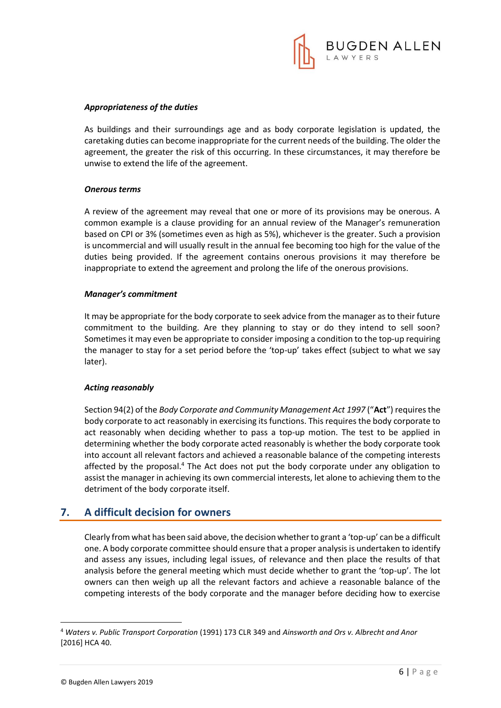

#### *Appropriateness of the duties*

As buildings and their surroundings age and as body corporate legislation is updated, the caretaking duties can become inappropriate for the current needs of the building. The older the agreement, the greater the risk of this occurring. In these circumstances, it may therefore be unwise to extend the life of the agreement.

#### *Onerous terms*

A review of the agreement may reveal that one or more of its provisions may be onerous. A common example is a clause providing for an annual review of the Manager's remuneration based on CPI or 3% (sometimes even as high as 5%), whichever is the greater. Such a provision is uncommercial and will usually result in the annual fee becoming too high for the value of the duties being provided. If the agreement contains onerous provisions it may therefore be inappropriate to extend the agreement and prolong the life of the onerous provisions.

#### *Manager's commitment*

It may be appropriate for the body corporate to seek advice from the manager as to their future commitment to the building. Are they planning to stay or do they intend to sell soon? Sometimes it may even be appropriate to consider imposing a condition to the top-up requiring the manager to stay for a set period before the 'top-up' takes effect (subject to what we say later).

#### *Acting reasonably*

Section 94(2) of the *Body Corporate and Community Management Act 1997* ("**Act**") requires the body corporate to act reasonably in exercising its functions. This requires the body corporate to act reasonably when deciding whether to pass a top-up motion. The test to be applied in determining whether the body corporate acted reasonably is whether the body corporate took into account all relevant factors and achieved a reasonable balance of the competing interests affected by the proposal.<sup>4</sup> The Act does not put the body corporate under any obligation to assist the manager in achieving its own commercial interests, let alone to achieving them to the detriment of the body corporate itself.

## **7. A difficult decision for owners**

Clearly from what has been said above, the decision whether to grant a 'top-up' can be a difficult one. A body corporate committee should ensure that a proper analysis is undertaken to identify and assess any issues, including legal issues, of relevance and then place the results of that analysis before the general meeting which must decide whether to grant the 'top-up'. The lot owners can then weigh up all the relevant factors and achieve a reasonable balance of the competing interests of the body corporate and the manager before deciding how to exercise

1

<sup>4</sup> *Waters v. Public Transport Corporation* (1991) 173 CLR 349 and *Ainsworth and Ors v. Albrecht and Anor* [2016] HCA 40.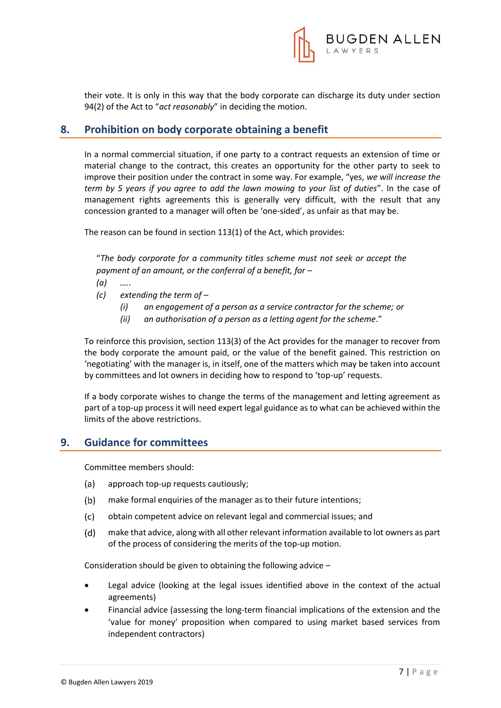

their vote. It is only in this way that the body corporate can discharge its duty under section 94(2) of the Act to "*act reasonably*" in deciding the motion.

## **8. Prohibition on body corporate obtaining a benefit**

In a normal commercial situation, if one party to a contract requests an extension of time or material change to the contract, this creates an opportunity for the other party to seek to improve their position under the contract in some way. For example, "yes, *we will increase the term by 5 years if you agree to add the lawn mowing to your list of duties*". In the case of management rights agreements this is generally very difficult, with the result that any concession granted to a manager will often be 'one-sided', as unfair as that may be.

The reason can be found in section 113(1) of the Act, which provides:

"*The body corporate for a community titles scheme must not seek or accept the payment of an amount, or the conferral of a benefit, for –*

- *(a) …..*
- *(c) extending the term of –*
	- *(i) an engagement of a person as a service contractor for the scheme; or*
	- *(ii) an authorisation of a person as a letting agent for the scheme*."

To reinforce this provision, section 113(3) of the Act provides for the manager to recover from the body corporate the amount paid, or the value of the benefit gained. This restriction on 'negotiating' with the manager is, in itself, one of the matters which may be taken into account by committees and lot owners in deciding how to respond to 'top-up' requests.

If a body corporate wishes to change the terms of the management and letting agreement as part of a top-up process it will need expert legal guidance as to what can be achieved within the limits of the above restrictions.

## **9. Guidance for committees**

Committee members should:

- $(a)$ approach top-up requests cautiously;
- $(b)$ make formal enquiries of the manager as to their future intentions;
- $(c)$ obtain competent advice on relevant legal and commercial issues; and
- $(d)$ make that advice, along with all other relevant information available to lot owners as part of the process of considering the merits of the top-up motion.

Consideration should be given to obtaining the following advice –

- Legal advice (looking at the legal issues identified above in the context of the actual agreements)
- Financial advice (assessing the long-term financial implications of the extension and the 'value for money' proposition when compared to using market based services from independent contractors)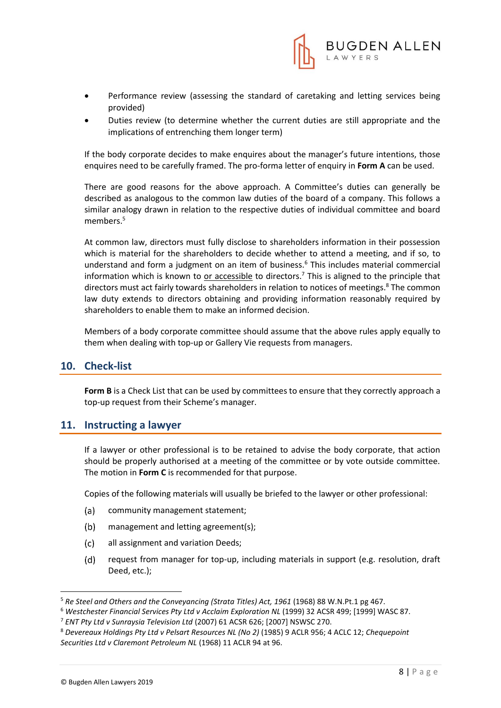

- Performance review (assessing the standard of caretaking and letting services being provided)
- Duties review (to determine whether the current duties are still appropriate and the implications of entrenching them longer term)

If the body corporate decides to make enquires about the manager's future intentions, those enquires need to be carefully framed. The pro-forma letter of enquiry in **Form A** can be used.

There are good reasons for the above approach. A Committee's duties can generally be described as analogous to the common law duties of the board of a company. This follows a similar analogy drawn in relation to the respective duties of individual committee and board members.<sup>5</sup>

At common law, directors must fully disclose to shareholders information in their possession which is material for the shareholders to decide whether to attend a meeting, and if so, to understand and form a judgment on an item of business.<sup>6</sup> This includes material commercial information which is known to or accessible to directors.<sup>7</sup> This is aligned to the principle that directors must act fairly towards shareholders in relation to notices of meetings.<sup>8</sup> The common law duty extends to directors obtaining and providing information reasonably required by shareholders to enable them to make an informed decision.

Members of a body corporate committee should assume that the above rules apply equally to them when dealing with top-up or Gallery Vie requests from managers.

## **10. Check-list**

**Form B** is a Check List that can be used by committees to ensure that they correctly approach a top-up request from their Scheme's manager.

### **11. Instructing a lawyer**

If a lawyer or other professional is to be retained to advise the body corporate, that action should be properly authorised at a meeting of the committee or by vote outside committee. The motion in **Form C** is recommended for that purpose.

Copies of the following materials will usually be briefed to the lawyer or other professional:

- $(a)$ community management statement;
- $(b)$ management and letting agreement(s);
- $(c)$ all assignment and variation Deeds;
- $(d)$ request from manager for top-up, including materials in support (e.g. resolution, draft Deed, etc.);

**.** 

<sup>&</sup>lt;sup>5</sup> Re Steel and Others and the Conveyancing (Strata Titles) Act, 1961 (1968) 88 W.N.Pt.1 pg 467.

<sup>6</sup> *Westchester Financial Services Pty Ltd v Acclaim Exploration NL* (1999) 32 ACSR 499; [1999] WASC 87.

<sup>7</sup> *ENT Pty Ltd v Sunraysia Television Ltd* (2007) 61 ACSR 626; [2007] NSWSC 270.

<sup>8</sup> *Devereaux Holdings Pty Ltd v Pelsart Resources NL (No 2)* (1985) 9 ACLR 956; 4 ACLC 12; *Chequepoint Securities Ltd v Claremont Petroleum NL* (1968) 11 ACLR 94 at 96.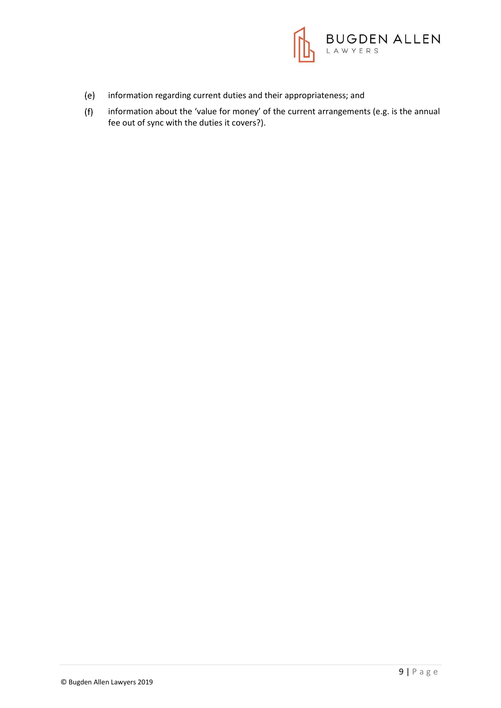

- $(e)$ information regarding current duties and their appropriateness; and
- $(f)$ information about the 'value for money' of the current arrangements (e.g. is the annual fee out of sync with the duties it covers?).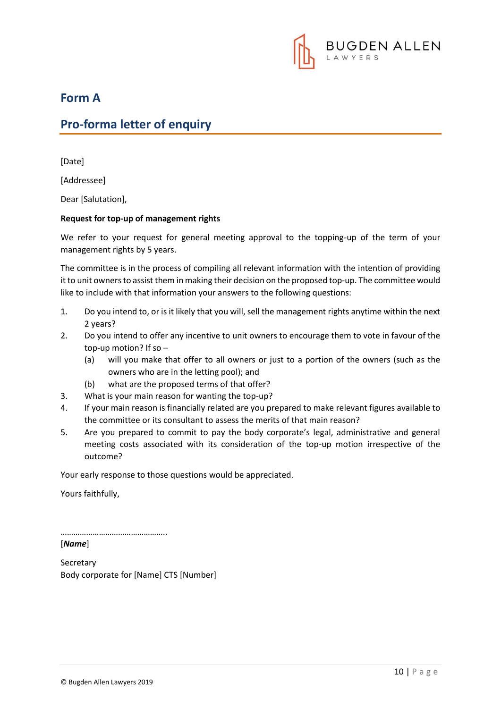

## **Form A**

## **Pro-forma letter of enquiry**

[Date]

[Addressee]

Dear [Salutation],

#### **Request for top-up of management rights**

We refer to your request for general meeting approval to the topping-up of the term of your management rights by 5 years.

The committee is in the process of compiling all relevant information with the intention of providing it to unit owners to assist them in making their decision on the proposed top-up. The committee would like to include with that information your answers to the following questions:

- 1. Do you intend to, or is it likely that you will, sell the management rights anytime within the next 2 years?
- 2. Do you intend to offer any incentive to unit owners to encourage them to vote in favour of the top-up motion? If so –
	- (a) will you make that offer to all owners or just to a portion of the owners (such as the owners who are in the letting pool); and
	- (b) what are the proposed terms of that offer?
- 3. What is your main reason for wanting the top-up?
- 4. If your main reason is financially related are you prepared to make relevant figures available to the committee or its consultant to assess the merits of that main reason?
- 5. Are you prepared to commit to pay the body corporate's legal, administrative and general meeting costs associated with its consideration of the top-up motion irrespective of the outcome?

Your early response to those questions would be appreciated.

Yours faithfully,

…………………………………………..

[*Name*]

**Secretary** Body corporate for [Name] CTS [Number]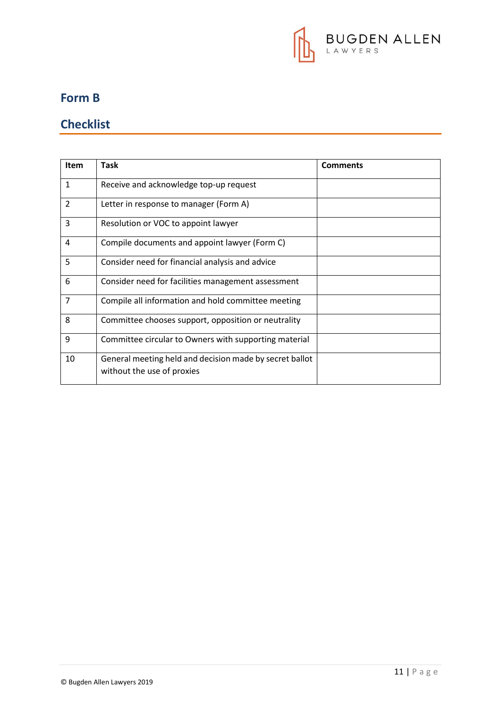

## **Form B**

## **Checklist**

| <b>Item</b>    | Task                                                    | <b>Comments</b> |
|----------------|---------------------------------------------------------|-----------------|
|                |                                                         |                 |
| 1              | Receive and acknowledge top-up request                  |                 |
| $\overline{2}$ | Letter in response to manager (Form A)                  |                 |
| 3              | Resolution or VOC to appoint lawyer                     |                 |
| 4              | Compile documents and appoint lawyer (Form C)           |                 |
| 5              | Consider need for financial analysis and advice         |                 |
| 6              | Consider need for facilities management assessment      |                 |
| 7              | Compile all information and hold committee meeting      |                 |
| 8              | Committee chooses support, opposition or neutrality     |                 |
| 9              | Committee circular to Owners with supporting material   |                 |
| 10             | General meeting held and decision made by secret ballot |                 |
|                | without the use of proxies                              |                 |